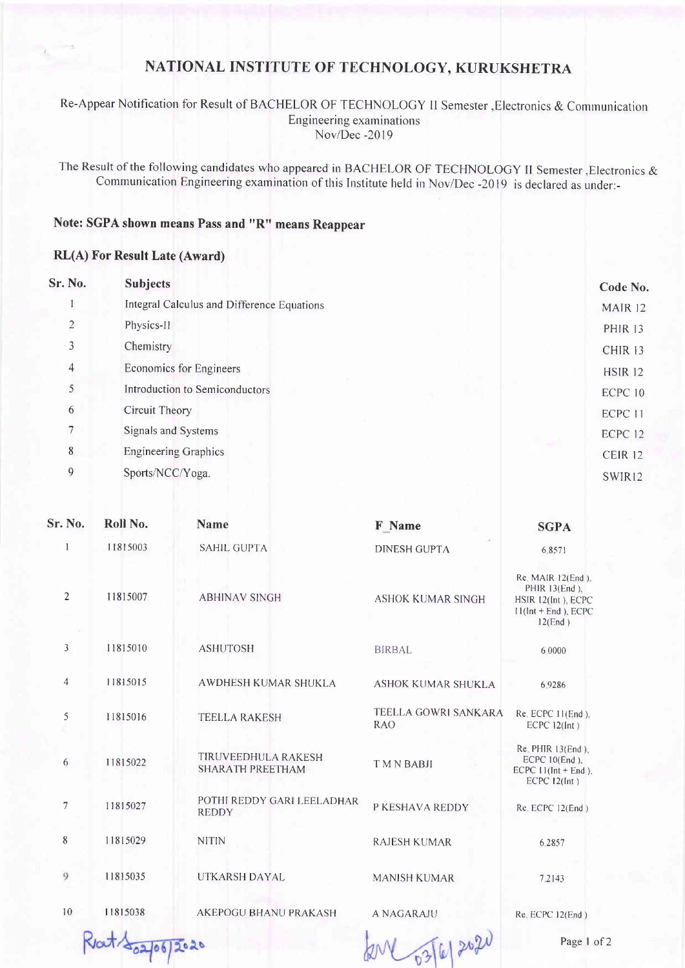## NATIONAL INSTITUTE OF TECHNOLOGY, KURUKSHETRA

Re-Appear Notification for Result of BACHELOR OF TECHNOLOGY II Semester , Electronics & Communication Engineering examinations Nov/Dec -2019

The Result of the following candidates who appeared in BACHELOR OF TECHNOLOGY II Semester , Electronics & Communication Engineering examination of this Institute held in Nov/Dec -2019 is declared as under:-

## Note: SGPA shown means Pass and "R" means Reappear

## **RL(A) For Result Late (Award)**

| Sr. No.        | <b>Subjects</b>                            | Code No.       |                    |
|----------------|--------------------------------------------|----------------|--------------------|
|                | Integral Calculus and Difference Equations | MAIR 12        |                    |
| $\overline{2}$ | Physics-II                                 | <b>PHIR 13</b> |                    |
| 3              | Chemistry                                  |                | CHIR <sub>13</sub> |
| $\overline{4}$ | Economics for Engineers                    |                | <b>HSIR 12</b>     |
| 5              | Introduction to Semiconductors             |                | ECPC 10            |
| 6              | Circuit Theory                             |                | ECPC 11            |
| 7 <sup>7</sup> | Signals and Systems                        |                | ECPC <sub>12</sub> |
| $\,$ 8 $\,$    | <b>Engineering Graphics</b>                |                | CEIR <sub>12</sub> |
| 9              | Sports/NCC/Yoga.                           |                | SWIR12             |
|                |                                            |                |                    |

| <b>Sr. No.</b> | Roll No. | <b>Name</b>                                           | F Name                             | <b>SGPA</b>                                                                                       |
|----------------|----------|-------------------------------------------------------|------------------------------------|---------------------------------------------------------------------------------------------------|
| 1              | 11815003 | <b>SAHIL GUPTA</b>                                    | <b>DINESH GUPTA</b>                | 6.8571                                                                                            |
| $\overline{2}$ | 11815007 | <b>ABHINAV SINGH</b>                                  | <b>ASHOK KUMAR SINGH</b>           | $Re$ MAIR $12(End)$ ,<br>PHIR 13(End),<br>HSIR 12(Int), ECPC<br>$11(int + End)$ , ECPC<br>12(End) |
| $\mathfrak{Z}$ | 11815010 | <b>ASHUTOSH</b>                                       | <b>BIRBAL</b>                      | 6.0000                                                                                            |
| $\overline{4}$ | 11815015 | <b>AWDHESH KUMAR SHUKLA</b>                           | <b>ASHOK KUMAR SHUKLA</b>          | 6.9286                                                                                            |
| 5              | 11815016 | <b>TEELLA RAKESH</b>                                  | TEELLA GOWRI SANKARA<br><b>RAO</b> | Re. ECPC 11(End),<br>$ECPC$ 12(Int)                                                               |
| 6              | 11815022 | <b>TIRUVEEDHULA RAKESH</b><br><b>SHARATH PREETHAM</b> | TMN BABJI                          | Re. PHIR 13(End).<br>ECPC 10(End).<br>ECPC $11$ (Int + End).<br>$ECPC$ 12(Int)                    |
| 7              | 11815027 | POTHI REDDY GARI LEELADHAR<br><b>REDDY</b>            | P KESHAVA REDDY                    | Re. ECPC 12(End)                                                                                  |
| $\,$ 8 $\,$    | 11815029 | <b>NITIN</b>                                          | <b>RAJESH KUMAR</b>                | 6.2857                                                                                            |
| 9              | 11815035 | UTKARSH DAYAL                                         | <b>MANISH KUMAR</b>                | 7.2143                                                                                            |
| 10             | 11815038 | <b>AKEPOGU BHANU PRAKASH</b>                          | <b>A NAGARAJU</b>                  | Re. ECPC 12(End)                                                                                  |
|                |          |                                                       |                                    |                                                                                                   |

Rat 102/06/2020

for 03/6/2020

Page 1 of 2